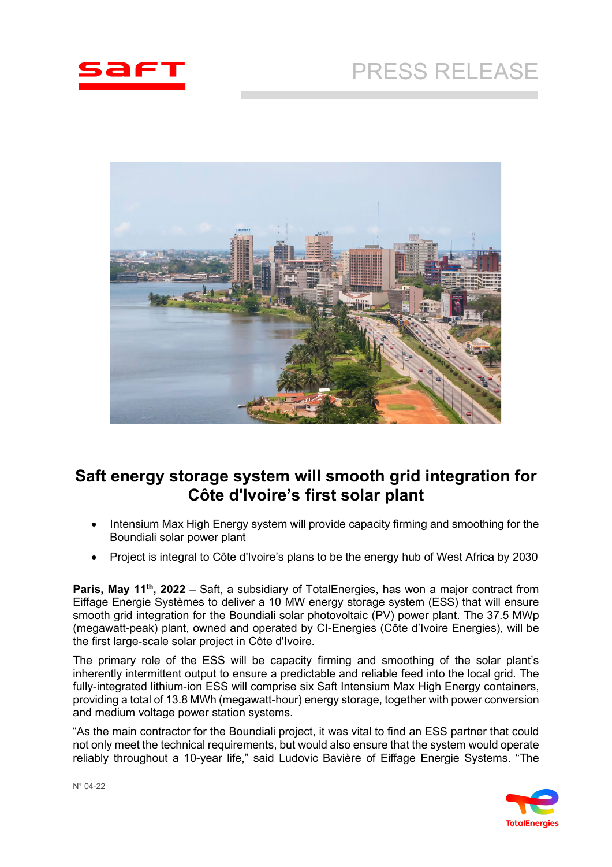# PRESS RELEASE





## **Saft energy storage system will smooth grid integration for Côte d'Ivoire's first solar plant**

- Intensium Max High Energy system will provide capacity firming and smoothing for the Boundiali solar power plant
- Project is integral to Côte d'Ivoire's plans to be the energy hub of West Africa by 2030

**Paris, May 11<sup>th</sup>, 2022** – Saft, a subsidiary of TotalEnergies, has won a major contract from Eiffage Energie Systèmes to deliver a 10 MW energy storage system (ESS) that will ensure smooth grid integration for the Boundiali solar photovoltaic (PV) power plant. The 37.5 MWp (megawatt-peak) plant, owned and operated by CI-Energies (Côte d'Ivoire Energies), will be the first large-scale solar project in Côte d'Ivoire.

The primary role of the ESS will be capacity firming and smoothing of the solar plant's inherently intermittent output to ensure a predictable and reliable feed into the local grid. The fully-integrated lithium-ion ESS will comprise six Saft Intensium Max High Energy containers, providing a total of 13.8 MWh (megawatt-hour) energy storage, together with power conversion and medium voltage power station systems.

"As the main contractor for the Boundiali project, it was vital to find an ESS partner that could not only meet the technical requirements, but would also ensure that the system would operate reliably throughout a 10-year life," said Ludovic Bavière of Eiffage Energie Systems. "The

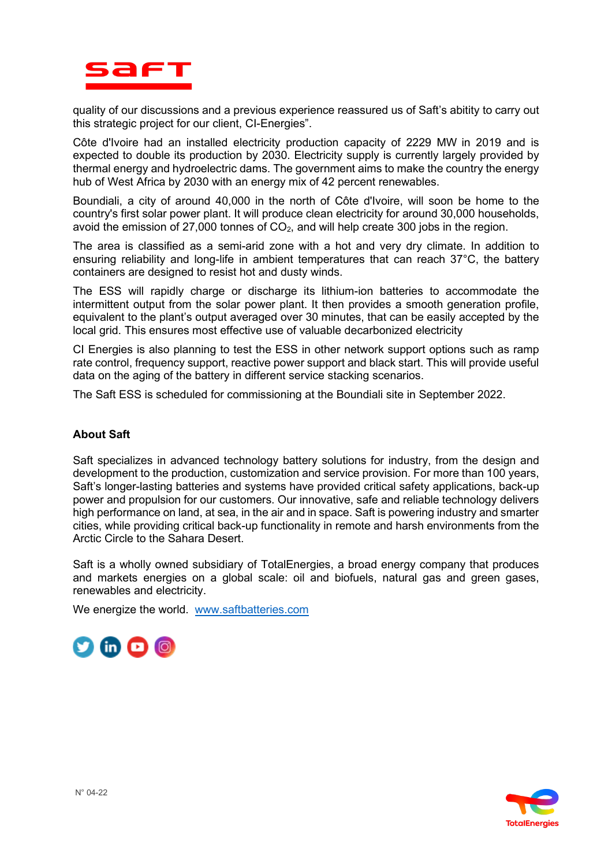

quality of our discussions and a previous experience reassured us of Saft's abitity to carry out this strategic project for our client, CI-Energies".

Côte d'Ivoire had an installed electricity production capacity of 2229 MW in 2019 and is expected to double its production by 2030. Electricity supply is currently largely provided by thermal energy and hydroelectric dams. The government aims to make the country the energy hub of West Africa by 2030 with an energy mix of 42 percent renewables.

Boundiali, a city of around 40,000 in the north of Côte d'Ivoire, will soon be home to the country's first solar power plant. It will produce clean electricity for around 30,000 households, avoid the emission of 27,000 tonnes of  $CO<sub>2</sub>$ , and will help create 300 jobs in the region.

The area is classified as a semi-arid zone with a hot and very dry climate. In addition to ensuring reliability and long-life in ambient temperatures that can reach 37°C, the battery containers are designed to resist hot and dusty winds.

The ESS will rapidly charge or discharge its lithium-ion batteries to accommodate the intermittent output from the solar power plant. It then provides a smooth generation profile, equivalent to the plant's output averaged over 30 minutes, that can be easily accepted by the local grid. This ensures most effective use of valuable decarbonized electricity

CI Energies is also planning to test the ESS in other network support options such as ramp rate control, frequency support, reactive power support and black start. This will provide useful data on the aging of the battery in different service stacking scenarios.

The Saft ESS is scheduled for commissioning at the Boundiali site in September 2022.

#### **About Saft**

Saft specializes in advanced technology battery solutions for industry, from the design and development to the production, customization and service provision. For more than 100 years, Saft's longer-lasting batteries and systems have provided critical safety applications, back-up power and propulsion for our customers. Our innovative, safe and reliable technology delivers high performance on land, at sea, in the air and in space. Saft is powering industry and smarter cities, while providing critical back-up functionality in remote and harsh environments from the Arctic Circle to the Sahara Desert.

Saft is a wholly owned subsidiary of TotalEnergies, a broad energy company that produces and markets energies on a global scale: oil and biofuels, natural gas and green gases, renewables and electricity.

We energize the world. [www.saftbatteries.com](http://www.saftbatteries.com/)